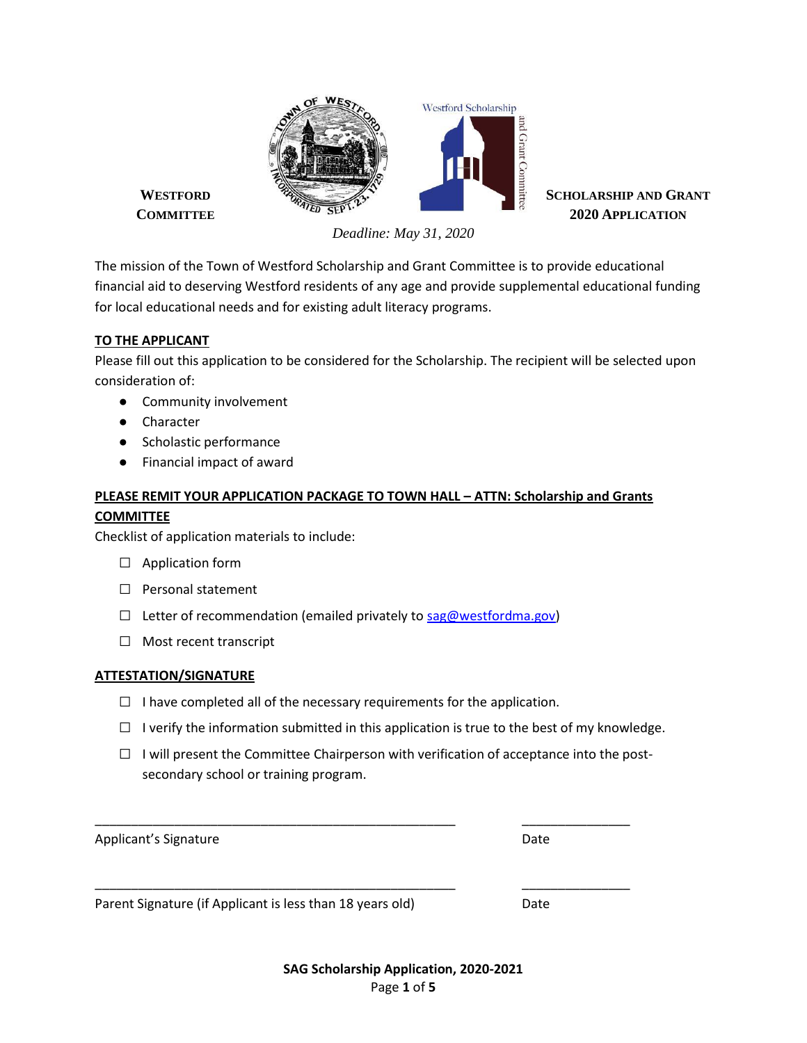

*Deadline: May 31, 2020*

The mission of the Town of Westford Scholarship and Grant Committee is to provide educational financial aid to deserving Westford residents of any age and provide supplemental educational funding for local educational needs and for existing adult literacy programs.

### **TO THE APPLICANT**

Please fill out this application to be considered for the Scholarship. The recipient will be selected upon consideration of:

- Community involvement
- Character
- Scholastic performance
- Financial impact of award

# **PLEASE REMIT YOUR APPLICATION PACKAGE TO TOWN HALL – ATTN: Scholarship and Grants COMMITTEE**

Checklist of application materials to include:

- □ Application form
- □ Personal statement
- $\Box$  Letter of recommendation (emailed privately to [sag@westfordma.gov\)](mailto:sag@westfordma.gov)
- $\Box$  Most recent transcript

### **ATTESTATION/SIGNATURE**

- $\Box$  I have completed all of the necessary requirements for the application.
- $\Box$  I verify the information submitted in this application is true to the best of my knowledge.
- $\Box$  I will present the Committee Chairperson with verification of acceptance into the postsecondary school or training program.

\_\_\_\_\_\_\_\_\_\_\_\_\_\_\_\_\_\_\_\_\_\_\_\_\_\_\_\_\_\_\_\_\_\_\_\_\_\_\_\_\_\_\_\_\_\_\_\_\_\_ \_\_\_\_\_\_\_\_\_\_\_\_\_\_\_

\_\_\_\_\_\_\_\_\_\_\_\_\_\_\_\_\_\_\_\_\_\_\_\_\_\_\_\_\_\_\_\_\_\_\_\_\_\_\_\_\_\_\_\_\_\_\_\_\_\_ \_\_\_\_\_\_\_\_\_\_\_\_\_\_\_

Applicant's Signature Date Date Date

Parent Signature (if Applicant is less than 18 years old) Date

**SAG Scholarship Application, 2020-2021** Page **1** of **5**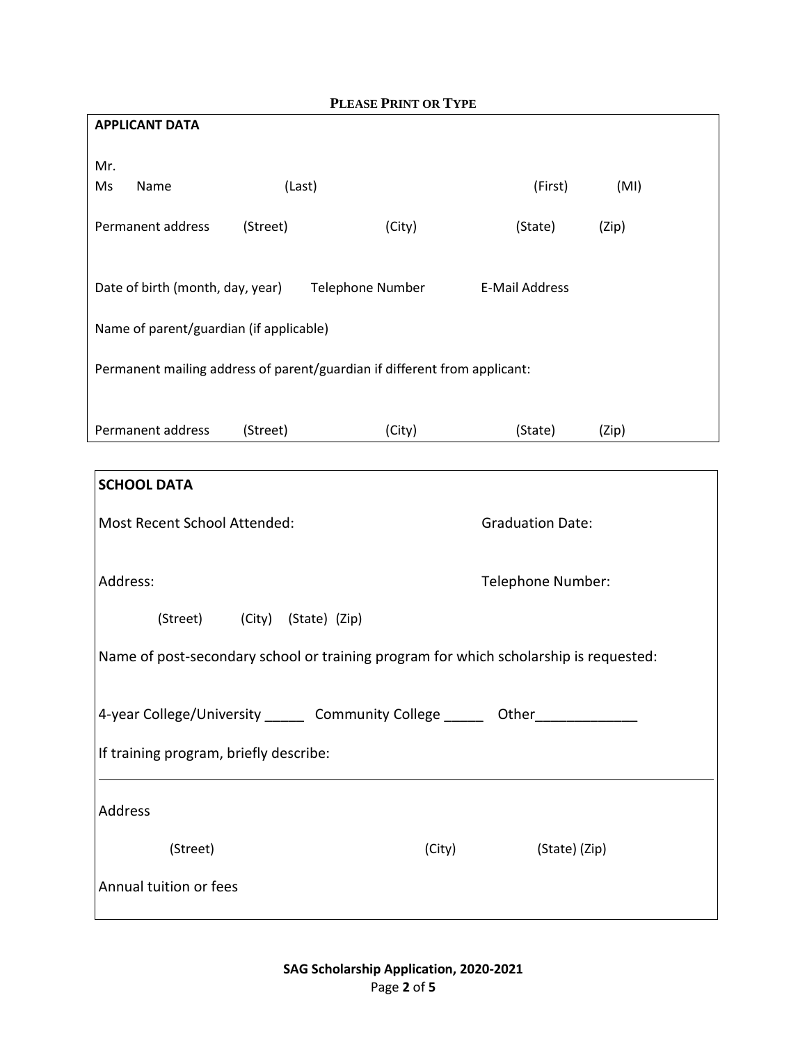| <b>PLEASE PRINT OR TYPE</b>             |          |                                                                           |                       |       |  |
|-----------------------------------------|----------|---------------------------------------------------------------------------|-----------------------|-------|--|
| <b>APPLICANT DATA</b>                   |          |                                                                           |                       |       |  |
|                                         |          |                                                                           |                       |       |  |
| Mr.                                     |          |                                                                           |                       |       |  |
| Ms<br>Name                              |          | (Last)                                                                    | (First)               | (MI)  |  |
|                                         |          |                                                                           |                       |       |  |
| Permanent address                       | (Street) | (City)                                                                    | (State)               | (Zip) |  |
|                                         |          |                                                                           |                       |       |  |
|                                         |          |                                                                           |                       |       |  |
| Date of birth (month, day, year)        |          | <b>Telephone Number</b>                                                   | <b>E-Mail Address</b> |       |  |
|                                         |          |                                                                           |                       |       |  |
| Name of parent/guardian (if applicable) |          |                                                                           |                       |       |  |
|                                         |          | Permanent mailing address of parent/guardian if different from applicant: |                       |       |  |
|                                         |          |                                                                           |                       |       |  |
|                                         |          |                                                                           |                       |       |  |
| Permanent address                       | (Street) | (City)                                                                    | (State)               | (Zip) |  |
|                                         |          |                                                                           |                       |       |  |

| <b>SCHOOL DATA</b>                                                                    |                         |  |  |  |  |
|---------------------------------------------------------------------------------------|-------------------------|--|--|--|--|
| Most Recent School Attended:                                                          | <b>Graduation Date:</b> |  |  |  |  |
| Address:                                                                              | Telephone Number:       |  |  |  |  |
| (Street) (City) (State) (Zip)                                                         |                         |  |  |  |  |
| Name of post-secondary school or training program for which scholarship is requested: |                         |  |  |  |  |
| 4-year College/University ______ Community College ______ Other _______________       |                         |  |  |  |  |
|                                                                                       |                         |  |  |  |  |
| If training program, briefly describe:                                                |                         |  |  |  |  |
|                                                                                       |                         |  |  |  |  |
| Address                                                                               |                         |  |  |  |  |
| (Street)<br>(City)                                                                    | (State) (Zip)           |  |  |  |  |
| Annual tuition or fees                                                                |                         |  |  |  |  |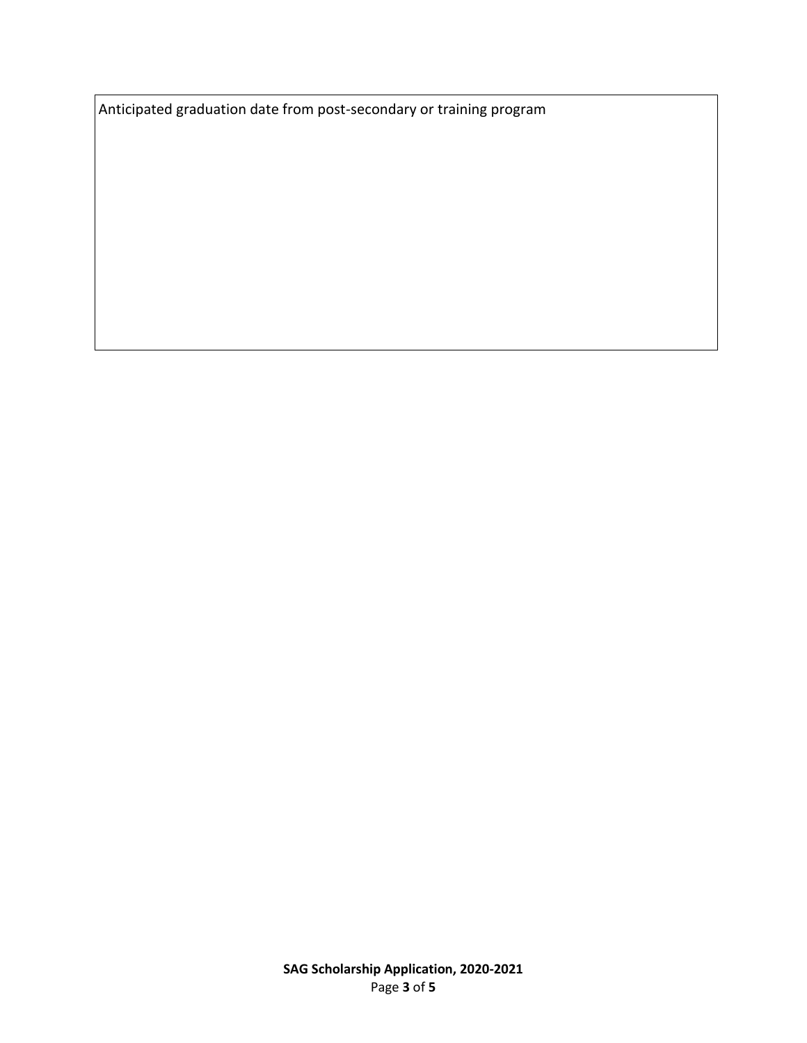Anticipated graduation date from post-secondary or training program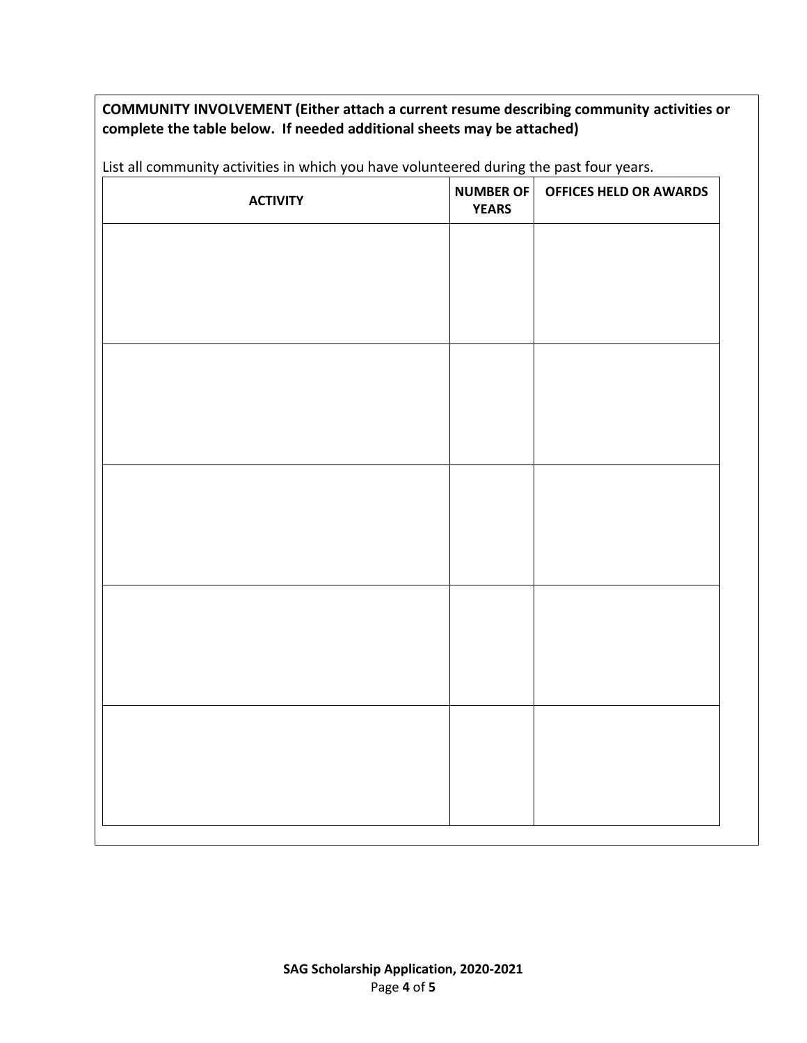# **COMMUNITY INVOLVEMENT (Either attach a current resume describing community activities or complete the table below. If needed additional sheets may be attached)**

| <b>YEARS</b> | NUMBER OF   OFFICES HELD OR AWARDS |
|--------------|------------------------------------|
|              |                                    |
|              |                                    |
|              |                                    |
|              |                                    |
|              |                                    |
|              |                                    |
|              |                                    |
|              |                                    |
|              |                                    |
|              |                                    |
|              |                                    |
|              |                                    |
|              |                                    |
|              |                                    |
|              |                                    |

List all community activities in which you have volunteered during the past four years.